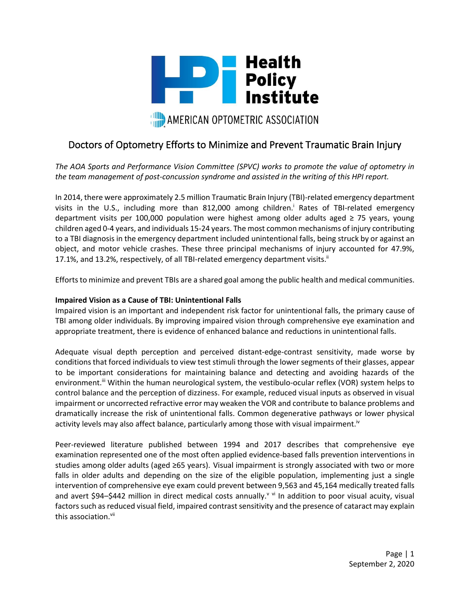

# Doctors of Optometry Efforts to Minimize and Prevent Traumatic Brain Injury

*The AOA Sports and Performance Vision Committee (SPVC) works to promote the value of optometry in the team management of post-concussion syndrome and assisted in the writing of this HPI report.*

In 2014, there were approximately 2.5 million Traumatic Brain Injury (TBI)-related emergency department visits in the U.S., including more than 812,000 among children.<sup>i</sup> Rates of TBI-related emergency department visits per 100,000 population were highest among older adults aged ≥ 75 years, young children aged 0-4 years, and individuals 15-24 years. The most common mechanisms of injury contributing to a TBI diagnosis in the emergency department included unintentional falls, being struck by or against an object, and motor vehicle crashes. These three principal mechanisms of injury accounted for 47.9%, 17.1%, and 13.2%, respectively, of all TBI-related emergency department visits.<sup>ii</sup>

Efforts to minimize and prevent TBIs are a shared goal among the public health and medical communities.

#### **Impaired Vision as a Cause of TBI: Unintentional Falls**

Impaired vision is an important and independent risk factor for unintentional falls, the primary cause of TBI among older individuals. By improving impaired vision through comprehensive eye examination and appropriate treatment, there is evidence of enhanced balance and reductions in unintentional falls.

Adequate visual depth perception and perceived distant-edge-contrast sensitivity, made worse by conditions that forced individuals to view test stimuli through the lower segments of their glasses, appear to be important considerations for maintaining balance and detecting and avoiding hazards of the environment.<sup>ii</sup> Within the human neurological system, the vestibulo-ocular reflex (VOR) system helps to control balance and the perception of dizziness. For example, reduced visual inputs as observed in visual impairment or uncorrected refractive error may weaken the VOR and contribute to balance problems and dramatically increase the risk of unintentional falls. Common degenerative pathways or lower physical activity levels may also affect balance, particularly among those with visual impairment.<sup>iv</sup>

Peer-reviewed literature published between 1994 and 2017 describes that comprehensive eye examination represented one of the most often applied evidence-based falls prevention interventions in studies among older adults (aged ≥65 years). Visual impairment is strongly associated with two or more falls in older adults and depending on the size of the eligible population, implementing just a single intervention of comprehensive eye exam could prevent between 9,563 and 45,164 medically treated falls and avert \$94–\$442 million in direct medical costs annually.<sup>v vi</sup> In addition to poor visual acuity, visual factors such as reduced visual field, impaired contrast sensitivity and the presence of cataract may explain this association.<sup>vii</sup>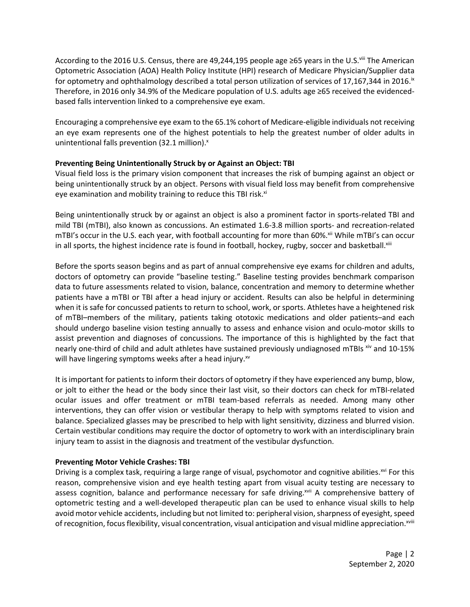According to the 2016 U.S. Census, there are 49,244,195 people age ≥65 years in the U.S.<sup>viii</sup> The American Optometric Association (AOA) Health Policy Institute (HPI) research of Medicare Physician/Supplier data for optometry and ophthalmology described a total person utilization of services of 17,167,344 in 2016. ${}^{\text{ix}}$ Therefore, in 2016 only 34.9% of the Medicare population of U.S. adults age ≥65 received the evidencedbased falls intervention linked to a comprehensive eye exam.

Encouraging a comprehensive eye exam to the 65.1% cohort of Medicare-eligible individuals not receiving an eye exam represents one of the highest potentials to help the greatest number of older adults in unintentional falls prevention (32.1 million).<sup>x</sup>

## **Preventing Being Unintentionally Struck by or Against an Object: TBI**

Visual field loss is the primary vision component that increases the risk of bumping against an object or being unintentionally struck by an object. Persons with visual field loss may benefit from comprehensive eye examination and mobility training to reduce this TBI risk.<sup>xi</sup>

Being unintentionally struck by or against an object is also a prominent factor in sports-related TBI and mild TBI (mTBI), also known as concussions. An estimated 1.6-3.8 million sports- and recreation-related mTBI's occur in the U.S. each year, with football accounting for more than 60%.<sup>xii</sup> While mTBI's can occur in all sports, the highest incidence rate is found in football, hockey, rugby, soccer and basketball.<sup>xiii</sup>

Before the sports season begins and as part of annual comprehensive eye exams for children and adults, doctors of optometry can provide "baseline testing." Baseline testing provides benchmark comparison data to future assessments related to vision, balance, concentration and memory to determine whether patients have a mTBI or TBI after a head injury or accident. Results can also be helpful in determining when it is safe for concussed patients to return to school, work, or sports. Athletes have a heightened risk of mTBI–members of the military, patients taking ototoxic medications and older patients–and each should undergo baseline vision testing annually to assess and enhance vision and oculo-motor skills to assist prevention and diagnoses of concussions. The importance of this is highlighted by the fact that nearly one-third of child and adult athletes have sustained previously undiagnosed mTBIs xiv and 10-15% will have lingering symptoms weeks after a head injury.<sup>xv</sup>

It is important for patients to inform their doctors of optometry if they have experienced any bump, blow, or jolt to either the head or the body since their last visit, so their doctors can check for mTBI-related ocular issues and offer treatment or mTBI team-based referrals as needed. Among many other interventions, they can offer vision or vestibular therapy to help with symptoms related to vision and balance. Specialized glasses may be prescribed to help with light sensitivity, dizziness and blurred vision. Certain vestibular conditions may require the doctor of optometry to work with an interdisciplinary brain injury team to assist in the diagnosis and treatment of the vestibular dysfunction.

# **Preventing Motor Vehicle Crashes: TBI**

Driving is a complex task, requiring a large range of visual, psychomotor and cognitive abilities.<sup>xvi</sup> For this reason, comprehensive vision and eye health testing apart from visual acuity testing are necessary to assess cognition, balance and performance necessary for safe driving.<sup>xvii</sup> A comprehensive battery of optometric testing and a well-developed therapeutic plan can be used to enhance visual skills to help avoid motor vehicle accidents, including but not limited to: peripheral vision, sharpness of eyesight, speed of recognition, focus flexibility, visual concentration, visual anticipation and visual midline appreciation.<sup>xviii</sup>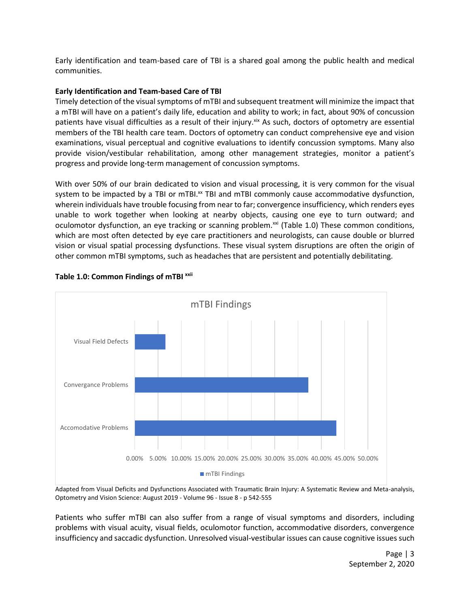Early identification and team-based care of TBI is a shared goal among the public health and medical communities.

#### **Early Identification and Team-based Care of TBI**

Timely detection of the visual symptoms of mTBI and subsequent treatment will minimize the impact that a mTBI will have on a patient's daily life, education and ability to work; in fact, about 90% of concussion patients have visual difficulties as a result of their injury. Xix As such, doctors of optometry are essential members of the TBI health care team. Doctors of optometry can conduct comprehensive eye and vision examinations, visual perceptual and cognitive evaluations to identify concussion symptoms. Many also provide vision/vestibular rehabilitation, among other management strategies, monitor a patient's progress and provide long-term management of concussion symptoms.

With over 50% of our brain dedicated to vision and visual processing, it is very common for the visual system to be impacted by a TBI or mTBI.<sup>xx</sup> TBI and mTBI commonly cause accommodative dysfunction, wherein individuals have trouble focusing from near to far; convergence insufficiency, which renders eyes unable to work together when looking at nearby objects, causing one eye to turn outward; and oculomotor dysfunction, an eye tracking or scanning problem.<sup>xxi</sup> (Table 1.0) These common conditions, which are most often detected by eye care practitioners and neurologists, can cause double or blurred vision or visual spatial processing dysfunctions. These visual system disruptions are often the origin of other common mTBI symptoms, such as headaches that are persistent and potentially debilitating.



## **Table 1.0: Common Findings of mTBI xxii**

Adapted from Visual Deficits and Dysfunctions Associated with Traumatic Brain Injury: A Systematic Review and Meta-analysis, Optometry and Vision Science: August 2019 - Volume 96 - Issue 8 - p 542-555

Patients who suffer mTBI can also suffer from a range of visual symptoms and disorders, including problems with visual acuity, visual fields, oculomotor function, accommodative disorders, convergence insufficiency and saccadic dysfunction. Unresolved visual-vestibular issues can cause cognitive issues such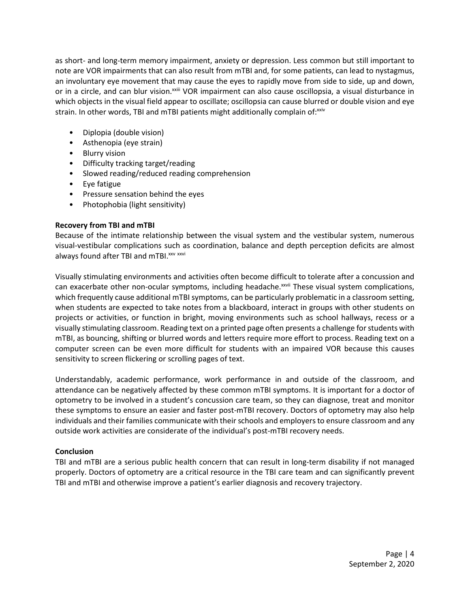as short- and long-term memory impairment, anxiety or depression. Less common but still important to note are VOR impairments that can also result from mTBI and, for some patients, can lead to nystagmus, an involuntary eye movement that may cause the eyes to rapidly move from side to side, up and down, or in a circle, and can blur vision.<sup>xxiii</sup> VOR impairment can also cause oscillopsia, a visual disturbance in which objects in the visual field appear to oscillate; oscillopsia can cause blurred or double vision and eye strain. In other words, TBI and mTBI patients might additionally complain of: xxiv

- Diplopia (double vision)
- Asthenopia (eye strain)
- Blurry vision
- Difficulty tracking target/reading
- Slowed reading/reduced reading comprehension
- Eye fatigue
- Pressure sensation behind the eyes
- Photophobia (light sensitivity)

# **Recovery from TBI and mTBI**

Because of the intimate relationship between the visual system and the vestibular system, numerous visual-vestibular complications such as coordination, balance and depth perception deficits are almost always found after TBI and mTBI.<sup>xxv</sup> <sup>xxvi</sup>

Visually stimulating environments and activities often become difficult to tolerate after a concussion and can exacerbate other non-ocular symptoms, including headache.<sup>xxvii</sup> These visual system complications, which frequently cause additional mTBI symptoms, can be particularly problematic in a classroom setting, when students are expected to take notes from a blackboard, interact in groups with other students on projects or activities, or function in bright, moving environments such as school hallways, recess or a visually stimulating classroom. Reading text on a printed page often presents a challenge for students with mTBI, as bouncing, shifting or blurred words and letters require more effort to process. Reading text on a computer screen can be even more difficult for students with an impaired VOR because this causes sensitivity to screen flickering or scrolling pages of text.

Understandably, academic performance, work performance in and outside of the classroom, and attendance can be negatively affected by these common mTBI symptoms. It is important for a doctor of optometry to be involved in a student's concussion care team, so they can diagnose, treat and monitor these symptoms to ensure an easier and faster post-mTBI recovery. Doctors of optometry may also help individuals and their families communicate with their schools and employers to ensure classroom and any outside work activities are considerate of the individual's post-mTBI recovery needs.

# **Conclusion**

TBI and mTBI are a serious public health concern that can result in long-term disability if not managed properly. Doctors of optometry are a critical resource in the TBI care team and can significantly prevent TBI and mTBI and otherwise improve a patient's earlier diagnosis and recovery trajectory.